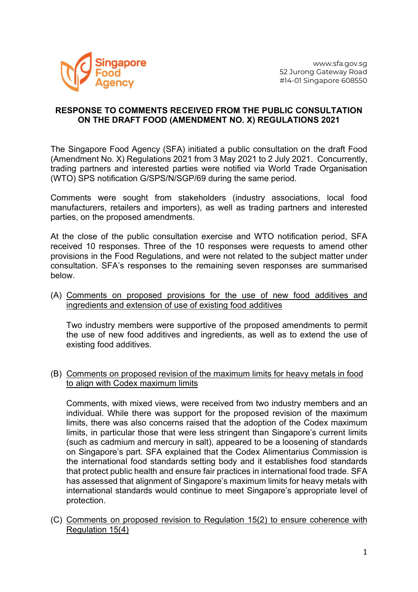

## RESPONSE TO COMMENTS RECEIVED FROM THE PUBLIC CONSULTATION ON THE DRAFT FOOD (AMENDMENT NO. X) REGULATIONS 2021

The Singapore Food Agency (SFA) initiated a public consultation on the draft Food (Amendment No. X) Regulations 2021 from 3 May 2021 to 2 July 2021. Concurrently, trading partners and interested parties were notified via World Trade Organisation (WTO) SPS notification G/SPS/N/SGP/69 during the same period.

Comments were sought from stakeholders (industry associations, local food manufacturers, retailers and importers), as well as trading partners and interested parties, on the proposed amendments.

At the close of the public consultation exercise and WTO notification period, SFA received 10 responses. Three of the 10 responses were requests to amend other provisions in the Food Regulations, and were not related to the subject matter under consultation. SFA's responses to the remaining seven responses are summarised below.

(A) Comments on proposed provisions for the use of new food additives and ingredients and extension of use of existing food additives

Two industry members were supportive of the proposed amendments to permit the use of new food additives and ingredients, as well as to extend the use of existing food additives.

(B) Comments on proposed revision of the maximum limits for heavy metals in food to align with Codex maximum limits

Comments, with mixed views, were received from two industry members and an individual. While there was support for the proposed revision of the maximum limits, there was also concerns raised that the adoption of the Codex maximum limits, in particular those that were less stringent than Singapore's current limits (such as cadmium and mercury in salt), appeared to be a loosening of standards on Singapore's part. SFA explained that the Codex Alimentarius Commission is the international food standards setting body and it establishes food standards that protect public health and ensure fair practices in international food trade. SFA has assessed that alignment of Singapore's maximum limits for heavy metals with international standards would continue to meet Singapore's appropriate level of protection.

(C) Comments on proposed revision to Regulation 15(2) to ensure coherence with Regulation 15(4)